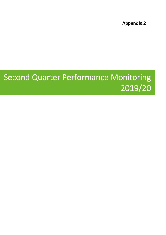**Appendix 2**

## **Second Quarter Performance Monitoring 2019/20**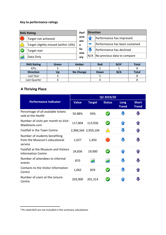## **Key to performance ratings**

| orm<br>Performance has improved<br>Target not achieved<br>anc              |  |
|----------------------------------------------------------------------------|--|
| Performance has been sustained<br>Target slightly missed (within 10%)<br>e |  |
| Su<br>Performance has declined<br>Target met<br>mm                         |  |
| No previous data to compare<br>N/A<br>Data Only<br>ary                     |  |

| <b>RAG Rating</b> | Green | Amber            | <b>Red</b>  | N/A <sup>1</sup> | Total |
|-------------------|-------|------------------|-------------|------------------|-------|
| <b>KPIS</b>       |       |                  |             |                  |       |
| <b>Direction</b>  | Up    | <b>No Change</b> | <b>Down</b> | N/A              | Total |
| Last Year         |       |                  |             |                  |       |
| Last Quarter      |       |                  |             |                  |       |

## **A Thriving Place**

|                                                                           | Q2 2019/20   |                     |                      |                      |                              |  |
|---------------------------------------------------------------------------|--------------|---------------------|----------------------|----------------------|------------------------------|--|
| <b>Performance Indicator</b>                                              | <b>Value</b> | <b>Target</b>       | <b>Status</b>        | Long<br><b>Trend</b> | <b>Short</b><br><b>Trend</b> |  |
| Percentage of all available tickets<br>sold at the Hazlitt                | 50.88%       | 50%                 | $\blacktriangledown$ |                      |                              |  |
| Number of visits per month to Visit-<br>Maidstone.com                     | 117,804      | 113,936             | $\blacklozenge$      |                      |                              |  |
| Footfall in the Town Centre                                               |              | 2,906,564 2,959,104 |                      |                      |                              |  |
| Number of students benefiting<br>from the Museum's educational<br>service | 1,027        | 1,450               |                      | J                    | J                            |  |
| Footfall at the Museum and Visitors<br><b>Information Centre</b>          | 24,836       | 19,000              | $\bullet$            |                      |                              |  |
| Number of attendees to informal<br>events                                 | 870          | W                   |                      | JI,                  | U                            |  |
| Contacts to the Visitor Information<br>Centre                             | 1,062        | 829                 | $\bullet$            |                      |                              |  |
| Number of users at the Leisure<br>Centre                                  | 203,900      | 201,314             |                      |                      |                              |  |

<sup>1</sup> PIs rated N/A are not included in the summary calculations